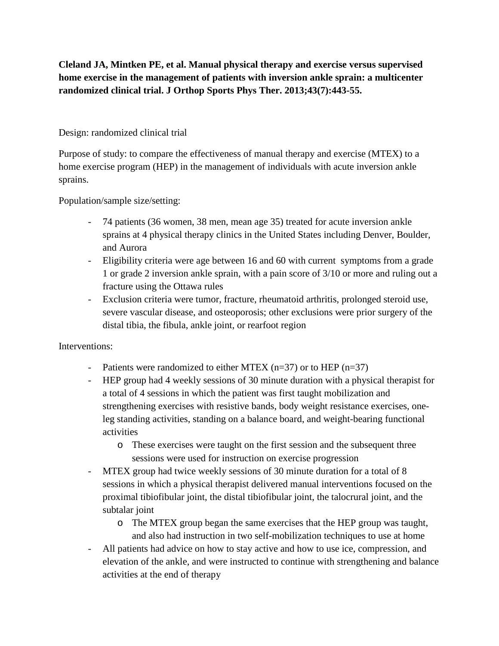**Cleland JA, Mintken PE, et al. Manual physical therapy and exercise versus supervised home exercise in the management of patients with inversion ankle sprain: a multicenter randomized clinical trial. J Orthop Sports Phys Ther. 2013;43(7):443-55.**

## Design: randomized clinical trial

Purpose of study: to compare the effectiveness of manual therapy and exercise (MTEX) to a home exercise program (HEP) in the management of individuals with acute inversion ankle sprains.

Population/sample size/setting:

- 74 patients (36 women, 38 men, mean age 35) treated for acute inversion ankle sprains at 4 physical therapy clinics in the United States including Denver, Boulder, and Aurora
- Eligibility criteria were age between 16 and 60 with current symptoms from a grade 1 or grade 2 inversion ankle sprain, with a pain score of 3/10 or more and ruling out a fracture using the Ottawa rules
- Exclusion criteria were tumor, fracture, rheumatoid arthritis, prolonged steroid use, severe vascular disease, and osteoporosis; other exclusions were prior surgery of the distal tibia, the fibula, ankle joint, or rearfoot region

## Interventions:

- Patients were randomized to either MTEX  $(n=37)$  or to HEP  $(n=37)$
- HEP group had 4 weekly sessions of 30 minute duration with a physical therapist for a total of 4 sessions in which the patient was first taught mobilization and strengthening exercises with resistive bands, body weight resistance exercises, oneleg standing activities, standing on a balance board, and weight-bearing functional activities
	- o These exercises were taught on the first session and the subsequent three sessions were used for instruction on exercise progression
- MTEX group had twice weekly sessions of 30 minute duration for a total of 8 sessions in which a physical therapist delivered manual interventions focused on the proximal tibiofibular joint, the distal tibiofibular joint, the talocrural joint, and the subtalar joint
	- o The MTEX group began the same exercises that the HEP group was taught, and also had instruction in two self-mobilization techniques to use at home
- All patients had advice on how to stay active and how to use ice, compression, and elevation of the ankle, and were instructed to continue with strengthening and balance activities at the end of therapy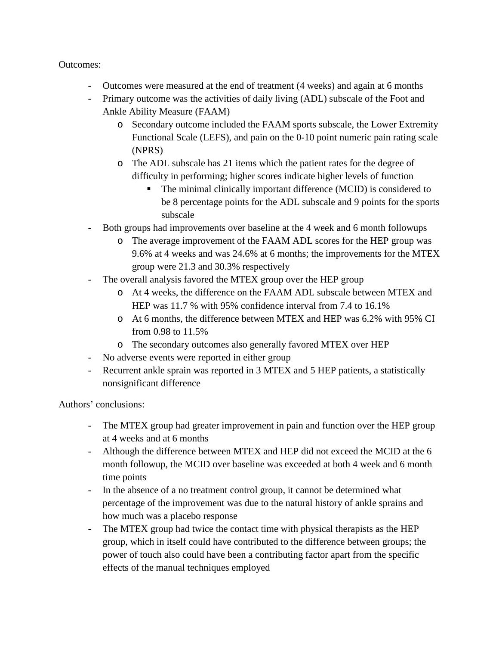## Outcomes:

- Outcomes were measured at the end of treatment (4 weeks) and again at 6 months
- Primary outcome was the activities of daily living (ADL) subscale of the Foot and Ankle Ability Measure (FAAM)
	- o Secondary outcome included the FAAM sports subscale, the Lower Extremity Functional Scale (LEFS), and pain on the 0-10 point numeric pain rating scale (NPRS)
	- o The ADL subscale has 21 items which the patient rates for the degree of difficulty in performing; higher scores indicate higher levels of function
		- The minimal clinically important difference (MCID) is considered to be 8 percentage points for the ADL subscale and 9 points for the sports subscale
- Both groups had improvements over baseline at the 4 week and 6 month followups
	- o The average improvement of the FAAM ADL scores for the HEP group was 9.6% at 4 weeks and was 24.6% at 6 months; the improvements for the MTEX group were 21.3 and 30.3% respectively
- The overall analysis favored the MTEX group over the HEP group
	- o At 4 weeks, the difference on the FAAM ADL subscale between MTEX and HEP was 11.7 % with 95% confidence interval from 7.4 to 16.1%
	- o At 6 months, the difference between MTEX and HEP was 6.2% with 95% CI from 0.98 to 11.5%
	- o The secondary outcomes also generally favored MTEX over HEP
- No adverse events were reported in either group
- Recurrent ankle sprain was reported in 3 MTEX and 5 HEP patients, a statistically nonsignificant difference

Authors' conclusions:

- The MTEX group had greater improvement in pain and function over the HEP group at 4 weeks and at 6 months
- Although the difference between MTEX and HEP did not exceed the MCID at the 6 month followup, the MCID over baseline was exceeded at both 4 week and 6 month time points
- In the absence of a no treatment control group, it cannot be determined what percentage of the improvement was due to the natural history of ankle sprains and how much was a placebo response
- The MTEX group had twice the contact time with physical therapists as the HEP group, which in itself could have contributed to the difference between groups; the power of touch also could have been a contributing factor apart from the specific effects of the manual techniques employed